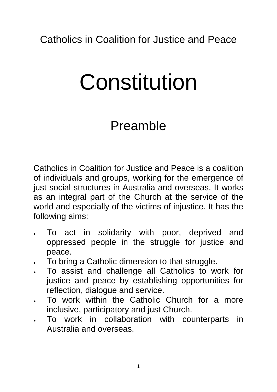# Constitution

# Preamble

Catholics in Coalition for Justice and Peace is a coalition of individuals and groups, working for the emergence of just social structures in Australia and overseas. It works as an integral part of the Church at the service of the world and especially of the victims of injustice. It has the following aims:

- To act in solidarity with poor, deprived and oppressed people in the struggle for justice and peace.
- To bring a Catholic dimension to that struggle.
- To assist and challenge all Catholics to work for justice and peace by establishing opportunities for reflection, dialogue and service.
- To work within the Catholic Church for a more inclusive, participatory and just Church.
- To work in collaboration with counterparts in Australia and overseas.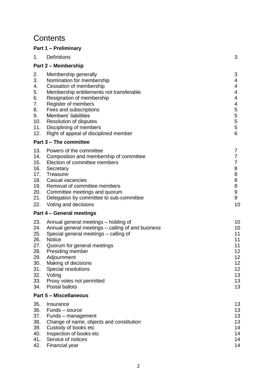# **Contents**

#### **Part 1 – Preliminary**

| 1.                                                                               | Definitions                                                                                                                                                                                                                                                                                                                         | 3                                                                                                           |
|----------------------------------------------------------------------------------|-------------------------------------------------------------------------------------------------------------------------------------------------------------------------------------------------------------------------------------------------------------------------------------------------------------------------------------|-------------------------------------------------------------------------------------------------------------|
|                                                                                  | <b>Part 2 - Membership</b>                                                                                                                                                                                                                                                                                                          |                                                                                                             |
| 2.<br>3.<br>4.<br>5.<br>6.<br>7.<br>8.<br>9.<br>10.<br>11.<br>12.                | Membership generally<br>Nomination for membership<br>Cessation of membership<br>Membership entitlements not transferable<br>Resignation of membership<br>Register of members<br>Fees and subscriptions<br>Members' liabilities<br><b>Resolution of disputes</b><br>Disciplining of members<br>Right of appeal of disciplined member | 3<br>4<br>4<br>4<br>4<br>4<br>5<br>5<br>5<br>5<br>6                                                         |
|                                                                                  | Part 3 – The committee                                                                                                                                                                                                                                                                                                              |                                                                                                             |
| 13.<br>14.<br>15.<br>16.<br>17.<br>18.<br>19.<br>20.<br>21.<br>22.               | Powers of the committee<br>Composition and membership of committee<br>Election of committee members<br>Secretary<br>Treasurer<br>Casual vacancies<br>Removal of committee members<br>Committee meetings and quorum<br>Delegation by committee to sub-committee<br>Voting and decisions                                              | 7<br>$\overline{7}$<br>$\overline{7}$<br>8<br>8<br>8<br>8<br>9<br>9<br>10                                   |
|                                                                                  | Part 4 – General meetings                                                                                                                                                                                                                                                                                                           |                                                                                                             |
| 23.<br>24.<br>25.<br>26.<br>27.<br>28.<br>29.<br>30.<br>31.<br>32.<br>33.<br>34. | Annual general meetings – holding of<br>Annual general meetings - calling of and business<br>Special general meetings – calling of<br><b>Notice</b><br>Quorum for general meetings<br>Presiding member<br>Adjournment<br>Making of decisions<br>Special resolutions<br>Voting<br>Proxy votes not permitted<br>Postal ballots        | 10<br>10<br>11<br>11<br>11<br>12 <sub>2</sub><br>12<br>12 <sub>2</sub><br>12 <sub>2</sub><br>13<br>13<br>13 |
|                                                                                  | <b>Part 5 - Miscellaneous</b>                                                                                                                                                                                                                                                                                                       |                                                                                                             |
| 35.<br>36.<br>37.<br>38.<br>39.<br>40.<br>41.<br>42.                             | Insurance<br>Funds - source<br>Funds – management<br>Change of name, objects and constitution<br>Custody of books etc<br>Inspection of books etc<br>Service of notices<br>Financial year                                                                                                                                            | 13<br>13<br>13<br>13<br>14<br>14<br>14<br>14                                                                |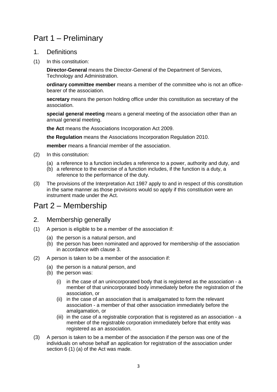# Part 1 – Preliminary

#### 1. Definitions

(1) In this constitution:

**Director-General** means the Director-General of the Department of Services, Technology and Administration.

**ordinary committee member** means a member of the committee who is not an officebearer of the association.

**secretary** means the person holding office under this constitution as secretary of the association.

**special general meeting** means a general meeting of the association other than an annual general meeting.

**the Act** means the Associations Incorporation Act 2009.

**the Regulation** means the Associations Incorporation Regulation 2010.

**member** means a financial member of the association.

- (2) In this constitution:
	- (a) a reference to a function includes a reference to a power, authority and duty, and
	- (b) a reference to the exercise of a function includes, if the function is a duty, a reference to the performance of the duty.
- (3) The provisions of the Interpretation Act 1987 apply to and in respect of this constitution in the same manner as those provisions would so apply if this constitution were an instrument made under the Act.

# Part 2 – Membership

- 2. Membership generally
- (1) A person is eligible to be a member of the association if:
	- (a) the person is a natural person, and
	- (b) the person has been nominated and approved for membership of the association in accordance with clause 3.
- (2) A person is taken to be a member of the association if:
	- (a) the person is a natural person, and
	- (b) the person was:
		- (i) in the case of an unincorporated body that is registered as the association a member of that unincorporated body immediately before the registration of the association, or
		- (ii) in the case of an association that is amalgamated to form the relevant association - a member of that other association immediately before the amalgamation, or
		- (iii) in the case of a registrable corporation that is registered as an association a member of the registrable corporation immediately before that entity was registered as an association.
- (3) A person is taken to be a member of the association if the person was one of the individuals on whose behalf an application for registration of the association under section 6 (1) (a) of the Act was made.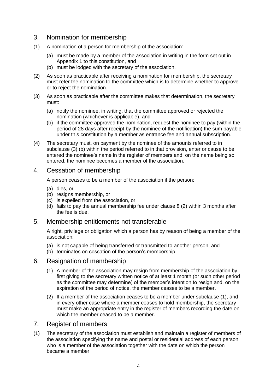#### 3. Nomination for membership

- (1) A nomination of a person for membership of the association:
	- (a) must be made by a member of the association in writing in the form set out in Appendix 1 to this constitution, and
	- (b) must be lodged with the secretary of the association.
- (2) As soon as practicable after receiving a nomination for membership, the secretary must refer the nomination to the committee which is to determine whether to approve or to reject the nomination.
- (3) As soon as practicable after the committee makes that determination, the secretary must:
	- (a) notify the nominee, in writing, that the committee approved or rejected the nomination (whichever is applicable), and
	- (b) if the committee approved the nomination, request the nominee to pay (within the period of 28 days after receipt by the nominee of the notification) the sum payable under this constitution by a member as entrance fee and annual subscription.
- (4) The secretary must, on payment by the nominee of the amounts referred to in subclause (3) (b) within the period referred to in that provision, enter or cause to be entered the nominee's name in the register of members and, on the name being so entered, the nominee becomes a member of the association.

#### 4. Cessation of membership

A person ceases to be a member of the association if the person:

- (a) dies, or
- (b) resigns membership, or
- (c) is expelled from the association, or
- (d) fails to pay the annual membership fee under clause 8 (2) within 3 months after the fee is due.

#### 5. Membership entitlements not transferable

A right, privilege or obligation which a person has by reason of being a member of the association:

- (a) is not capable of being transferred or transmitted to another person, and
- (b) terminates on cessation of the person's membership.

#### 6. Resignation of membership

- (1) A member of the association may resign from membership of the association by first giving to the secretary written notice of at least 1 month (or such other period as the committee may determine) of the member's intention to resign and, on the expiration of the period of notice, the member ceases to be a member.
- (2) If a member of the association ceases to be a member under subclause (1), and in every other case where a member ceases to hold membership, the secretary must make an appropriate entry in the register of members recording the date on which the member ceased to be a member.

#### 7. Register of members

(1) The secretary of the association must establish and maintain a register of members of the association specifying the name and postal or residential address of each person who is a member of the association together with the date on which the person became a member.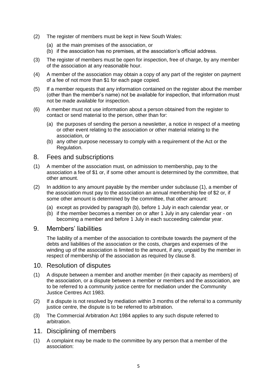- (2) The register of members must be kept in New South Wales:
	- (a) at the main premises of the association, or
	- (b) if the association has no premises, at the association's official address.
- (3) The register of members must be open for inspection, free of charge, by any member of the association at any reasonable hour.
- (4) A member of the association may obtain a copy of any part of the register on payment of a fee of not more than \$1 for each page copied.
- (5) If a member requests that any information contained on the register about the member (other than the member's name) not be available for inspection, that information must not be made available for inspection.
- (6) A member must not use information about a person obtained from the register to contact or send material to the person, other than for:
	- (a) the purposes of sending the person a newsletter, a notice in respect of a meeting or other event relating to the association or other material relating to the association, or
	- (b) any other purpose necessary to comply with a requirement of the Act or the Regulation.

#### 8. Fees and subscriptions

- (1) A member of the association must, on admission to membership, pay to the association a fee of \$1 or, if some other amount is determined by the committee, that other amount.
- (2) In addition to any amount payable by the member under subclause (1), a member of the association must pay to the association an annual membership fee of \$2 or, if some other amount is determined by the committee, that other amount:
	- (a) except as provided by paragraph (b), before 1 July in each calendar year, or
	- (b) if the member becomes a member on or after 1 July in any calendar year on becoming a member and before 1 July in each succeeding calendar year.

#### 9. Members' liabilities

The liability of a member of the association to contribute towards the payment of the debts and liabilities of the association or the costs, charges and expenses of the winding up of the association is limited to the amount, if any, unpaid by the member in respect of membership of the association as required by clause 8.

#### 10. Resolution of disputes

- (1) A dispute between a member and another member (in their capacity as members) of the association, or a dispute between a member or members and the association, are to be referred to a community justice centre for mediation under the Community Justice Centres Act 1983.
- (2) If a dispute is not resolved by mediation within 3 months of the referral to a community justice centre, the dispute is to be referred to arbitration.
- (3) The Commercial Arbitration Act 1984 applies to any such dispute referred to arbitration.

#### 11. Disciplining of members

(1) A complaint may be made to the committee by any person that a member of the association: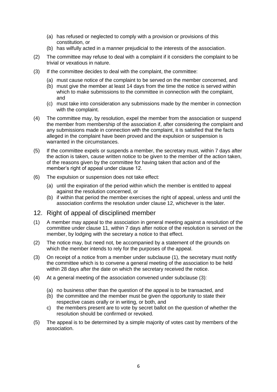- (a) has refused or neglected to comply with a provision or provisions of this constitution, or
- (b) has wilfully acted in a manner prejudicial to the interests of the association.
- (2) The committee may refuse to deal with a complaint if it considers the complaint to be trivial or vexatious in nature.
- (3) If the committee decides to deal with the complaint, the committee:
	- (a) must cause notice of the complaint to be served on the member concerned, and
	- (b) must give the member at least 14 days from the time the notice is served within which to make submissions to the committee in connection with the complaint, and
	- (c) must take into consideration any submissions made by the member in connection with the complaint.
- (4) The committee may, by resolution, expel the member from the association or suspend the member from membership of the association if, after considering the complaint and any submissions made in connection with the complaint, it is satisfied that the facts alleged in the complaint have been proved and the expulsion or suspension is warranted in the circumstances.
- (5) If the committee expels or suspends a member, the secretary must, within 7 days after the action is taken, cause written notice to be given to the member of the action taken, of the reasons given by the committee for having taken that action and of the member's right of appeal under clause 12.
- (6) The expulsion or suspension does not take effect:
	- (a) until the expiration of the period within which the member is entitled to appeal against the resolution concerned, or
	- (b) if within that period the member exercises the right of appeal, unless and until the association confirms the resolution under clause 12, whichever is the later.

#### 12. Right of appeal of disciplined member

- (1) A member may appeal to the association in general meeting against a resolution of the committee under clause 11, within 7 days after notice of the resolution is served on the member, by lodging with the secretary a notice to that effect.
- (2) The notice may, but need not, be accompanied by a statement of the grounds on which the member intends to rely for the purposes of the appeal.
- (3) On receipt of a notice from a member under subclause (1), the secretary must notify the committee which is to convene a general meeting of the association to be held within 28 days after the date on which the secretary received the notice.
- (4) At a general meeting of the association convened under subclause (3):
	- (a) no business other than the question of the appeal is to be transacted, and
	- (b) the committee and the member must be given the opportunity to state their respective cases orally or in writing, or both, and
	- c) the members present are to vote by secret ballot on the question of whether the resolution should be confirmed or revoked.
- (5) The appeal is to be determined by a simple majority of votes cast by members of the association.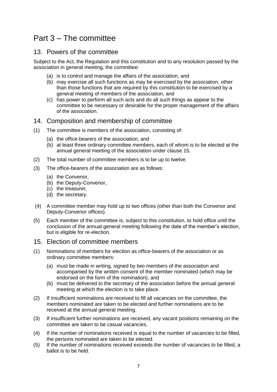# Part 3 – The committee

#### 13. Powers of the committee

Subject to the Act, the Regulation and this constitution and to any resolution passed by the association in general meeting, the committee:

- (a) is to control and manage the affairs of the association, and
- (b) may exercise all such functions as may be exercised by the association, other than those functions that are required by this constitution to be exercised by a general meeting of members of the association, and
- (c) has power to perform all such acts and do all such things as appear to the committee to be necessary or desirable for the proper management of the affairs of the association.

#### 14. Composition and membership of committee

- (1) The committee is members of the association, consisting of:
	- (a) the office-bearers of the association, and
	- (b) at least three ordinary committee members, each of whom is to be elected at the annual general meeting of the association under clause 15.
- (2) The total number of committee members is to be up to twelve.
- (3) The office-bearers of the association are as follows:
	- (a) the Convenor,
	- (b) the Deputy-Convenor,
	- (c) the treasurer,
	- (d) the secretary.
- (4) A committee member may hold up to two offices (other than both the Convenor and Deputy-Convenor offices).
- (5) Each member of the committee is, subject to this constitution, to hold office until the conclusion of the annual general meeting following the date of the member's election, but is eligible for re-election.

#### 15. Election of committee members

- (1) Nominations of members for election as office-bearers of the association or as ordinary committee members:
	- (a) must be made in writing, signed by two members of the association and accompanied by the written consent of the member nominated (which may be endorsed on the form of the nomination), and
	- (b) must be delivered to the secretary of the association before the annual general meeting at which the election is to take place.
- (2) If insufficient nominations are received to fill all vacancies on the committee, the members nominated are taken to be elected and further nominations are to be received at the annual general meeting.
- (3) If insufficient further nominations are received, any vacant positions remaining on the committee are taken to be casual vacancies.
- (4) If the number of nominations received is equal to the number of vacancies to be filled, the persons nominated are taken to be elected.
- (5) If the number of nominations received exceeds the number of vacancies to be filled, a ballot is to be held.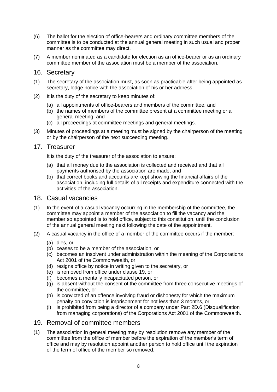- (6) The ballot for the election of office-bearers and ordinary committee members of the committee is to be conducted at the annual general meeting in such usual and proper manner as the committee may direct.
- (7) A member nominated as a candidate for election as an office-bearer or as an ordinary committee member of the association must be a member of the association.

#### 16. Secretary

- (1) The secretary of the association must, as soon as practicable after being appointed as secretary, lodge notice with the association of his or her address.
- (2) It is the duty of the secretary to keep minutes of:
	- (a) all appointments of office-bearers and members of the committee, and
	- (b) the names of members of the committee present at a committee meeting or a general meeting, and
	- (c) all proceedings at committee meetings and general meetings.
- (3) Minutes of proceedings at a meeting must be signed by the chairperson of the meeting or by the chairperson of the next succeeding meeting.

#### 17. Treasurer

It is the duty of the treasurer of the association to ensure:

- (a) that all money due to the association is collected and received and that all payments authorised by the association are made, and
- (b) that correct books and accounts are kept showing the financial affairs of the association, including full details of all receipts and expenditure connected with the activities of the association.

#### 18. Casual vacancies

- (1) In the event of a casual vacancy occurring in the membership of the committee, the committee may appoint a member of the association to fill the vacancy and the member so appointed is to hold office, subject to this constitution, until the conclusion of the annual general meeting next following the date of the appointment.
- (2) A casual vacancy in the office of a member of the committee occurs if the member:
	- (a) dies, or
	- (b) ceases to be a member of the association, or
	- (c) becomes an insolvent under administration within the meaning of the Corporations Act 2001 of the Commonwealth, or
	- (d) resigns office by notice in writing given to the secretary, or
	- (e) is removed from office under clause 19, or
	- (f) becomes a mentally incapacitated person, or
	- (g) is absent without the consent of the committee from three consecutive meetings of the committee, or
	- (h) is convicted of an offence involving fraud or dishonesty for which the maximum penalty on conviction is imprisonment for not less than 3 months, or
	- (i) is prohibited from being a director of a company under Part 2D.6 (Disqualification from managing corporations) of the Corporations Act 2001 of the Commonwealth.

#### 19. Removal of committee members

(1) The association in general meeting may by resolution remove any member of the committee from the office of member before the expiration of the member's term of office and may by resolution appoint another person to hold office until the expiration of the term of office of the member so removed.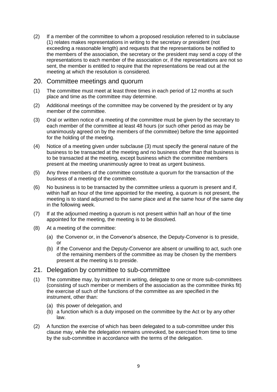(2) If a member of the committee to whom a proposed resolution referred to in subclause (1) relates makes representations in writing to the secretary or president (not exceeding a reasonable length) and requests that the representations be notified to the members of the association, the secretary or the president may send a copy of the representations to each member of the association or, if the representations are not so sent, the member is entitled to require that the representations be read out at the meeting at which the resolution is considered.

#### 20. Committee meetings and quorum

- (1) The committee must meet at least three times in each period of 12 months at such place and time as the committee may determine.
- (2) Additional meetings of the committee may be convened by the president or by any member of the committee.
- (3) Oral or written notice of a meeting of the committee must be given by the secretary to each member of the committee at least 48 hours (or such other period as may be unanimously agreed on by the members of the committee) before the time appointed for the holding of the meeting.
- (4) Notice of a meeting given under subclause (3) must specify the general nature of the business to be transacted at the meeting and no business other than that business is to be transacted at the meeting, except business which the committee members present at the meeting unanimously agree to treat as urgent business.
- (5) Any three members of the committee constitute a quorum for the transaction of the business of a meeting of the committee.
- (6) No business is to be transacted by the committee unless a quorum is present and if, within half an hour of the time appointed for the meeting, a quorum is not present, the meeting is to stand adjourned to the same place and at the same hour of the same day in the following week.
- (7) If at the adjourned meeting a quorum is not present within half an hour of the time appointed for the meeting, the meeting is to be dissolved.
- (8) At a meeting of the committee:
	- (a) the Convenor or, in the Convenor's absence, the Deputy-Convenor is to preside, or
	- (b) if the Convenor and the Deputy-Convenor are absent or unwilling to act, such one of the remaining members of the committee as may be chosen by the members present at the meeting is to preside.

#### 21. Delegation by committee to sub-committee

- (1) The committee may, by instrument in writing, delegate to one or more sub-committees (consisting of such member or members of the association as the committee thinks fit) the exercise of such of the functions of the committee as are specified in the instrument, other than:
	- (a) this power of delegation, and
	- (b) a function which is a duty imposed on the committee by the Act or by any other law.
- (2) A function the exercise of which has been delegated to a sub-committee under this clause may, while the delegation remains unrevoked, be exercised from time to time by the sub-committee in accordance with the terms of the delegation.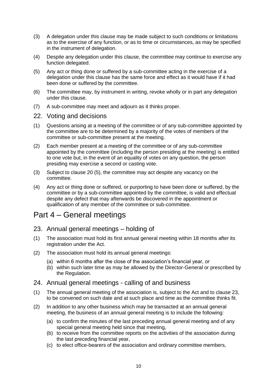- (3) A delegation under this clause may be made subject to such conditions or limitations as to the exercise of any function, or as to time or circumstances, as may be specified in the instrument of delegation.
- (4) Despite any delegation under this clause, the committee may continue to exercise any function delegated.
- (5) Any act or thing done or suffered by a sub-committee acting in the exercise of a delegation under this clause has the same force and effect as it would have if it had been done or suffered by the committee.
- (6) The committee may, by instrument in writing, revoke wholly or in part any delegation under this clause.
- (7) A sub-committee may meet and adjourn as it thinks proper.

#### 22. Voting and decisions

- (1) Questions arising at a meeting of the committee or of any sub-committee appointed by the committee are to be determined by a majority of the votes of members of the committee or sub-committee present at the meeting.
- (2) Each member present at a meeting of the committee or of any sub-committee appointed by the committee (including the person presiding at the meeting) is entitled to one vote but, in the event of an equality of votes on any question, the person presiding may exercise a second or casting vote.
- (3) Subject to clause 20 (5), the committee may act despite any vacancy on the committee.
- (4) Any act or thing done or suffered, or purporting to have been done or suffered, by the committee or by a sub-committee appointed by the committee, is valid and effectual despite any defect that may afterwards be discovered in the appointment or qualification of any member of the committee or sub-committee.

# Part 4 – General meetings

- 23. Annual general meetings holding of
- (1) The association must hold its first annual general meeting within 18 months after its registration under the Act.
- (2) The association must hold its annual general meetings:
	- (a) within 6 months after the close of the association's financial year, or
	- (b) within such later time as may be allowed by the Director-General or prescribed by the Regulation.

#### 24. Annual general meetings - calling of and business

- (1) The annual general meeting of the association is, subject to the Act and to clause 23, to be convened on such date and at such place and time as the committee thinks fit.
- (2) In addition to any other business which may be transacted at an annual general meeting, the business of an annual general meeting is to include the following:
	- (a) to confirm the minutes of the last preceding annual general meeting and of any special general meeting held since that meeting,
	- (b) to receive from the committee reports on the activities of the association during the last preceding financial year,
	- (c) to elect office-bearers of the association and ordinary committee members,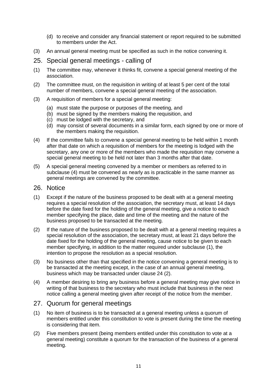- (d) to receive and consider any financial statement or report required to be submitted to members under the Act.
- (3) An annual general meeting must be specified as such in the notice convening it.
- 25. Special general meetings calling of
- (1) The committee may, whenever it thinks fit, convene a special general meeting of the association.
- (2) The committee must, on the requisition in writing of at least 5 per cent of the total number of members, convene a special general meeting of the association.
- (3) A requisition of members for a special general meeting:
	- (a) must state the purpose or purposes of the meeting, and
	- (b) must be signed by the members making the requisition, and
	- (c) must be lodged with the secretary, and
	- (d) may consist of several documents in a similar form, each signed by one or more of the members making the requisition.
- (4) If the committee fails to convene a special general meeting to be held within 1 month after that date on which a requisition of members for the meeting is lodged with the secretary, any one or more of the members who made the requisition may convene a special general meeting to be held not later than 3 months after that date.
- (5) A special general meeting convened by a member or members as referred to in subclause (4) must be convened as nearly as is practicable in the same manner as general meetings are convened by the committee.
- 26. Notice
- (1) Except if the nature of the business proposed to be dealt with at a general meeting requires a special resolution of the association, the secretary must, at least 14 days before the date fixed for the holding of the general meeting, give a notice to each member specifying the place, date and time of the meeting and the nature of the business proposed to be transacted at the meeting.
- (2) If the nature of the business proposed to be dealt with at a general meeting requires a special resolution of the association, the secretary must, at least 21 days before the date fixed for the holding of the general meeting, cause notice to be given to each member specifying, in addition to the matter required under subclause (1), the intention to propose the resolution as a special resolution.
- (3) No business other than that specified in the notice convening a general meeting is to be transacted at the meeting except, in the case of an annual general meeting, business which may be transacted under clause 24 (2).
- (4) A member desiring to bring any business before a general meeting may give notice in writing of that business to the secretary who must include that business in the next notice calling a general meeting given after receipt of the notice from the member.

#### 27. Quorum for general meetings

- (1) No item of business is to be transacted at a general meeting unless a quorum of members entitled under this constitution to vote is present during the time the meeting is considering that item.
- (2) Five members present (being members entitled under this constitution to vote at a general meeting) constitute a quorum for the transaction of the business of a general meeting.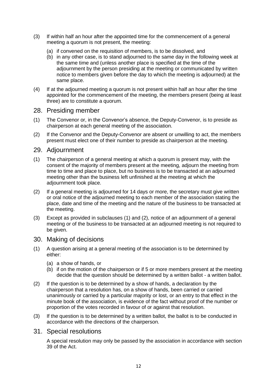- (3) If within half an hour after the appointed time for the commencement of a general meeting a quorum is not present, the meeting:
	- (a) if convened on the requisition of members, is to be dissolved, and
	- (b) in any other case, is to stand adjourned to the same day in the following week at the same time and (unless another place is specified at the time of the adjournment by the person presiding at the meeting or communicated by written notice to members given before the day to which the meeting is adjourned) at the same place.
- (4) If at the adjourned meeting a quorum is not present within half an hour after the time appointed for the commencement of the meeting, the members present (being at least three) are to constitute a quorum.

#### 28. Presiding member

- (1) The Convenor or, in the Convenor's absence, the Deputy-Convenor, is to preside as chairperson at each general meeting of the association.
- (2) If the Convenor and the Deputy-Convenor are absent or unwilling to act, the members present must elect one of their number to preside as chairperson at the meeting.

#### 29. Adjournment

- (1) The chairperson of a general meeting at which a quorum is present may, with the consent of the majority of members present at the meeting, adjourn the meeting from time to time and place to place, but no business is to be transacted at an adjourned meeting other than the business left unfinished at the meeting at which the adjournment took place.
- (2) If a general meeting is adjourned for 14 days or more, the secretary must give written or oral notice of the adjourned meeting to each member of the association stating the place, date and time of the meeting and the nature of the business to be transacted at the meeting.
- (3) Except as provided in subclauses (1) and (2), notice of an adjournment of a general meeting or of the business to be transacted at an adjourned meeting is not required to be given.

#### 30. Making of decisions

- (1) A question arising at a general meeting of the association is to be determined by either:
	- (a) a show of hands, or
	- (b) if on the motion of the chairperson or if 5 or more members present at the meeting decide that the question should be determined by a written ballot - a written ballot.
- (2) If the question is to be determined by a show of hands, a declaration by the chairperson that a resolution has, on a show of hands, been carried or carried unanimously or carried by a particular majority or lost, or an entry to that effect in the minute book of the association, is evidence of the fact without proof of the number or proportion of the votes recorded in favour of or against that resolution.
- (3) If the question is to be determined by a written ballot, the ballot is to be conducted in accordance with the directions of the chairperson.

#### 31. Special resolutions

A special resolution may only be passed by the association in accordance with section 39 of the Act.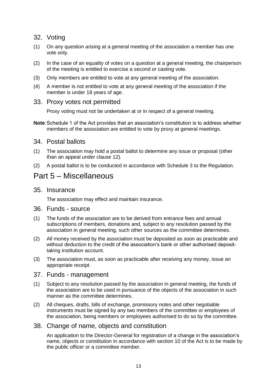#### 32. Voting

- (1) On any question arising at a general meeting of the association a member has one vote only.
- (2) In the case of an equality of votes on a question at a general meeting, the chairperson of the meeting is entitled to exercise a second or casting vote.
- (3) Only members are entitled to vote at any general meeting of the association.
- (4) A member is not entitled to vote at any general meeting of the association if the member is under 18 years of age.

#### 33. Proxy votes not permitted

Proxy voting must not be undertaken at or in respect of a general meeting.

**Note**:Schedule 1 of the Act provides that an association's constitution is to address whether members of the association are entitled to vote by proxy at general meetings.

#### 34. Postal ballots

- (1) The association may hold a postal ballot to determine any issue or proposal (other than an appeal under clause 12).
- (2) A postal ballot is to be conducted in accordance with Schedule 3 to the Regulation.

### Part 5 – Miscellaneous

35. Insurance

The association may effect and maintain insurance.

- 36. Funds source
- (1) The funds of the association are to be derived from entrance fees and annual subscriptions of members, donations and, subject to any resolution passed by the association in general meeting, such other sources as the committee determines.
- (2) All money received by the association must be deposited as soon as practicable and without deduction to the credit of the association's bank or other authorised deposittaking institution account.
- (3) The association must, as soon as practicable after receiving any money, issue an appropriate receipt.

#### 37. Funds - management

- (1) Subject to any resolution passed by the association in general meeting, the funds of the association are to be used in pursuance of the objects of the association in such manner as the committee determines.
- (2) All cheques, drafts, bills of exchange, promissory notes and other negotiable instruments must be signed by any two members of the committee or employees of the association, being members or employees authorised to do so by the committee.

#### 38. Change of name, objects and constitution

An application to the Director-General for registration of a change in the association's name, objects or constitution in accordance with section 10 of the Act is to be made by the public officer or a committee member.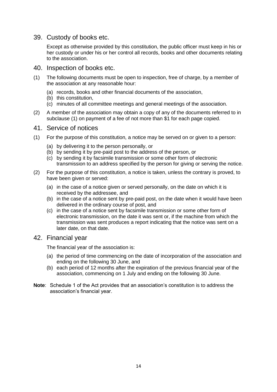39. Custody of books etc.

Except as otherwise provided by this constitution, the public officer must keep in his or her custody or under his or her control all records, books and other documents relating to the association.

- 40. Inspection of books etc.
- (1) The following documents must be open to inspection, free of charge, by a member of the association at any reasonable hour:
	- (a) records, books and other financial documents of the association,
	- (b) this constitution,
	- (c) minutes of all committee meetings and general meetings of the association.
- (2) A member of the association may obtain a copy of any of the documents referred to in subclause (1) on payment of a fee of not more than \$1 for each page copied.

#### 41. Service of notices

- (1) For the purpose of this constitution, a notice may be served on or given to a person:
	- (a) by delivering it to the person personally, or
	- (b) by sending it by pre-paid post to the address of the person, or
	- (c) by sending it by facsimile transmission or some other form of electronic transmission to an address specified by the person for giving or serving the notice.
- (2) For the purpose of this constitution, a notice is taken, unless the contrary is proved, to have been given or served:
	- (a) in the case of a notice given or served personally, on the date on which it is received by the addressee, and
	- (b) in the case of a notice sent by pre-paid post, on the date when it would have been delivered in the ordinary course of post, and
	- (c) in the case of a notice sent by facsimile transmission or some other form of electronic transmission, on the date it was sent or, if the machine from which the transmission was sent produces a report indicating that the notice was sent on a later date, on that date.
- 42. Financial year

The financial year of the association is:

- (a) the period of time commencing on the date of incorporation of the association and ending on the following 30 June, and
- (b) each period of 12 months after the expiration of the previous financial year of the association, commencing on 1 July and ending on the following 30 June.
- **Note**: Schedule 1 of the Act provides that an association's constitution is to address the association's financial year.